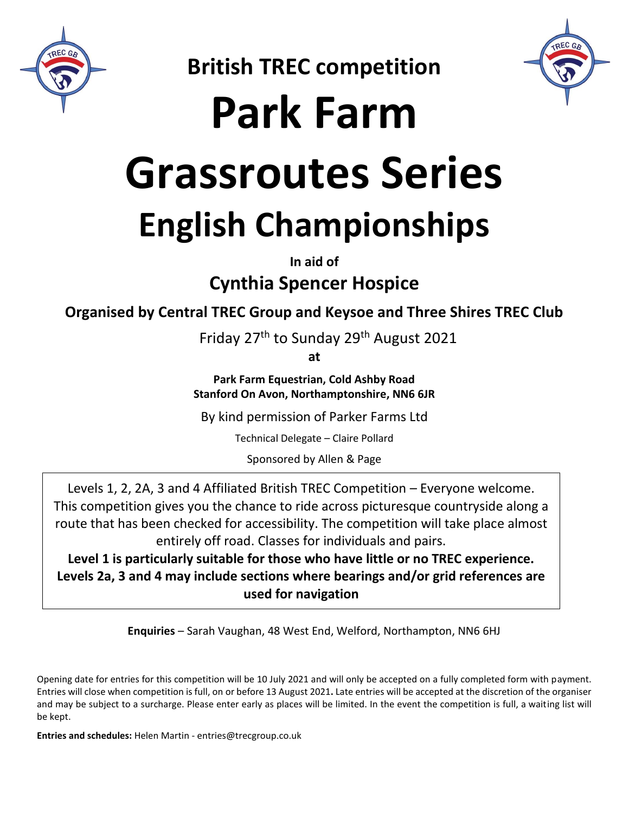

**British TREC competition**

**Park Farm** 

# **Grassroutes Series English Championships**

**In aid of** 

**Cynthia Spencer Hospice**

**Organised by Central TREC Group and Keysoe and Three Shires TREC Club**

Friday 27th to Sunday 29th August 2021

**at**

**Park Farm Equestrian, Cold Ashby Road Stanford On Avon, Northamptonshire, NN6 6JR**

By kind permission of Parker Farms Ltd

Technical Delegate – Claire Pollard

Sponsored by Allen & Page

Levels 1, 2, 2A, 3 and 4 Affiliated British TREC Competition – Everyone welcome. This competition gives you the chance to ride across picturesque countryside along a route that has been checked for accessibility. The competition will take place almost entirely off road. Classes for individuals and pairs.

**Level 1 is particularly suitable for those who have little or no TREC experience. Levels 2a, 3 and 4 may include sections where bearings and/or grid references are used for navigation**

**Enquiries** – Sarah Vaughan, 48 West End, Welford, Northampton, NN6 6HJ

Opening date for entries for this competition will be 10 July 2021 and will only be accepted on a fully completed form with payment. Entries will close when competition is full, on or before 13 August 2021**.** Late entries will be accepted at the discretion of the organiser and may be subject to a surcharge. Please enter early as places will be limited. In the event the competition is full, a waiting list will be kept.

**Entries and schedules:** Helen Martin - entries@trecgroup.co.uk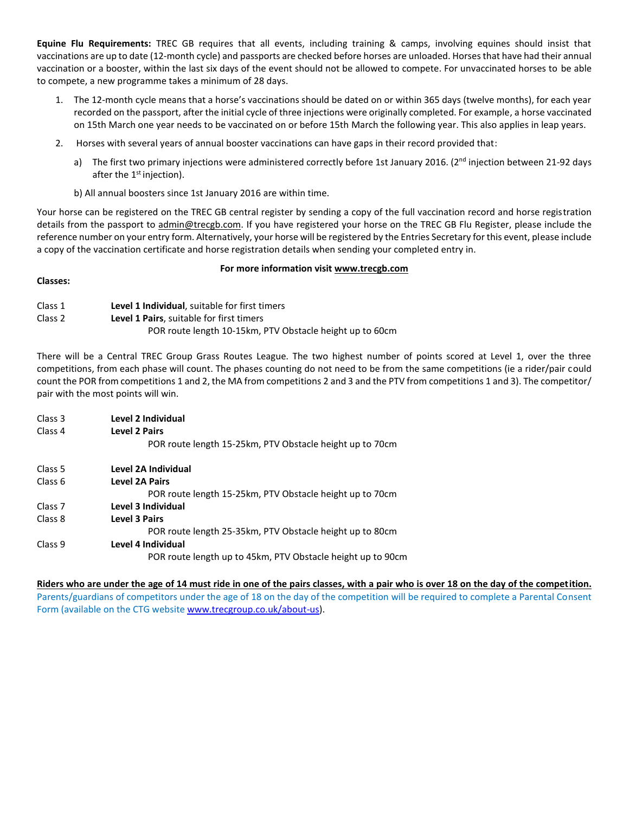**Equine Flu Requirements:** TREC GB requires that all events, including training & camps, involving equines should insist that vaccinations are up to date (12-month cycle) and passports are checked before horses are unloaded. Horses that have had their annual vaccination or a booster, within the last six days of the event should not be allowed to compete. For unvaccinated horses to be able to compete, a new programme takes a minimum of 28 days.

- 1. The 12-month cycle means that a horse's vaccinations should be dated on or within 365 days (twelve months), for each year recorded on the passport, after the initial cycle of three injections were originally completed. For example, a horse vaccinated on 15th March one year needs to be vaccinated on or before 15th March the following year. This also applies in leap years.
- 2. Horses with several years of annual booster vaccinations can have gaps in their record provided that:
	- a) The first two primary injections were administered correctly before 1st January 2016. (2<sup>nd</sup> injection between 21-92 days after the  $1<sup>st</sup>$  injection).
	- b) All annual boosters since 1st January 2016 are within time.

Your horse can be registered on the TREC GB central register by sending a copy of the full vaccination record and horse registration details from the passport to admin@trecgb.com. If you have registered your horse on the TREC GB Flu Register, please include the reference number on your entry form. Alternatively, your horse will be registered by the Entries Secretary for this event, please include a copy of the vaccination certificate and horse registration details when sending your completed entry in.

#### **For more information visit www.trecgb.com**

#### **Classes:**

| Class 1 | <b>Level 1 Individual.</b> suitable for first timers       |
|---------|------------------------------------------------------------|
| Class 2 | <b>Level 1 Pairs</b> , suitable for first timers           |
|         | POR route length 10-15 km, PTV Obstacle height up to 60 cm |

There will be a Central TREC Group Grass Routes League. The two highest number of points scored at Level 1, over the three competitions, from each phase will count. The phases counting do not need to be from the same competitions (ie a rider/pair could count the POR from competitions 1 and 2, the MA from competitions 2 and 3 and the PTV from competitions 1 and 3). The competitor/ pair with the most points will win.

| Class 3            | Level 2 Individual                                          |
|--------------------|-------------------------------------------------------------|
| Class 4            | <b>Level 2 Pairs</b>                                        |
|                    | POR route length 15-25km, PTV Obstacle height up to 70cm    |
| Class 5            | Level 2A Individual                                         |
| Class 6            | <b>Level 2A Pairs</b>                                       |
|                    | POR route length 15-25km, PTV Obstacle height up to 70cm    |
| Class <sub>7</sub> | Level 3 Individual                                          |
| Class 8            | Level 3 Pairs                                               |
|                    | POR route length 25-35 km, PTV Obstacle height up to 80 cm  |
| Class <sub>9</sub> | Level 4 Individual                                          |
|                    | POR route length up to 45km, PTV Obstacle height up to 90cm |

#### **Riders who are under the age of 14 must ride in one of the pairs classes, with a pair who is over 18 on the day of the competition.**

Parents/guardians of competitors under the age of 18 on the day of the competition will be required to complete a Parental Consent Form (available on the CTG websit[e www.trecgroup.co.uk/about-us\)](http://www.trecgroup.co.uk/about-us).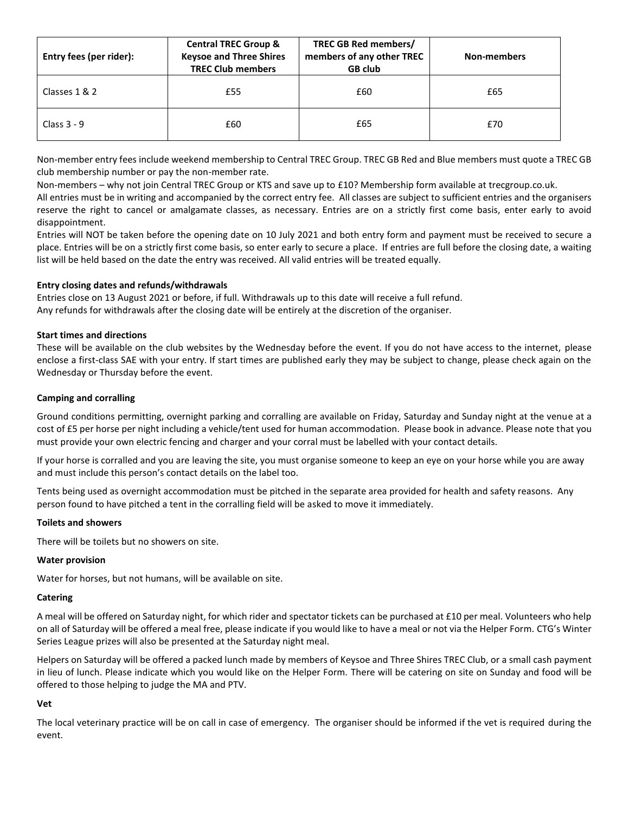| Entry fees (per rider): | <b>Central TREC Group &amp;</b><br><b>Keysoe and Three Shires</b><br><b>TREC Club members</b> | <b>TREC GB Red members/</b><br>members of any other TREC<br><b>GB club</b> | <b>Non-members</b> |
|-------------------------|-----------------------------------------------------------------------------------------------|----------------------------------------------------------------------------|--------------------|
| Classes 1 & 2           | £55                                                                                           | £60                                                                        | £65                |
| Class $3 - 9$           | £60                                                                                           | £65                                                                        | £70                |

Non-member entry fees include weekend membership to Central TREC Group. TREC GB Red and Blue members must quote a TREC GB club membership number or pay the non-member rate.

Non-members – why not join Central TREC Group or KTS and save up to £10? Membership form available at trecgroup.co.uk.

All entries must be in writing and accompanied by the correct entry fee. All classes are subject to sufficient entries and the organisers reserve the right to cancel or amalgamate classes, as necessary. Entries are on a strictly first come basis, enter early to avoid disappointment.

Entries will NOT be taken before the opening date on 10 July 2021 and both entry form and payment must be received to secure a place. Entries will be on a strictly first come basis, so enter early to secure a place. If entries are full before the closing date, a waiting list will be held based on the date the entry was received. All valid entries will be treated equally.

#### **Entry closing dates and refunds/withdrawals**

Entries close on 13 August 2021 or before, if full. Withdrawals up to this date will receive a full refund. Any refunds for withdrawals after the closing date will be entirely at the discretion of the organiser.

#### **Start times and directions**

These will be available on the club websites by the Wednesday before the event. If you do not have access to the internet, please enclose a first-class SAE with your entry. If start times are published early they may be subject to change, please check again on the Wednesday or Thursday before the event.

#### **Camping and corralling**

Ground conditions permitting, overnight parking and corralling are available on Friday, Saturday and Sunday night at the venue at a cost of £5 per horse per night including a vehicle/tent used for human accommodation. Please book in advance. Please note that you must provide your own electric fencing and charger and your corral must be labelled with your contact details.

If your horse is corralled and you are leaving the site, you must organise someone to keep an eye on your horse while you are away and must include this person's contact details on the label too.

Tents being used as overnight accommodation must be pitched in the separate area provided for health and safety reasons. Any person found to have pitched a tent in the corralling field will be asked to move it immediately.

#### **Toilets and showers**

There will be toilets but no showers on site.

#### **Water provision**

Water for horses, but not humans, will be available on site.

#### **Catering**

A meal will be offered on Saturday night, for which rider and spectator tickets can be purchased at £10 per meal. Volunteers who help on all of Saturday will be offered a meal free, please indicate if you would like to have a meal or not via the Helper Form. CTG's Winter Series League prizes will also be presented at the Saturday night meal.

Helpers on Saturday will be offered a packed lunch made by members of Keysoe and Three Shires TREC Club, or a small cash payment in lieu of lunch. Please indicate which you would like on the Helper Form. There will be catering on site on Sunday and food will be offered to those helping to judge the MA and PTV.

#### **Vet**

The local veterinary practice will be on call in case of emergency. The organiser should be informed if the vet is required during the event.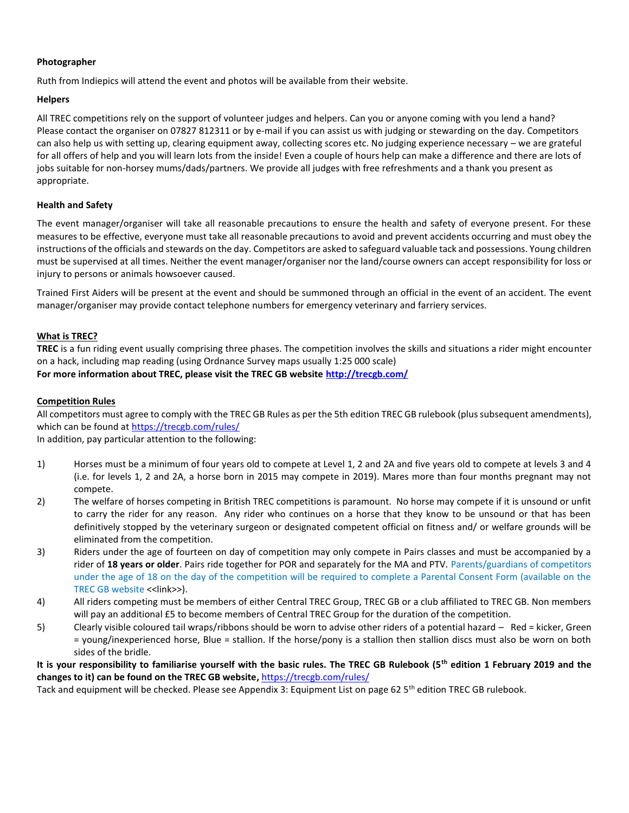#### **Photographer**

Ruth from Indiepics will attend the event and photos will be available from their website.

#### **Helpers**

All TREC competitions rely on the support of volunteer judges and helpers. Can you or anyone coming with you lend a hand? Please contact the organiser on 07827 812311 or by e-mail if you can assist us with judging or stewarding on the day. Competitors can also help us with setting up, clearing equipment away, collecting scores etc. No judging experience necessary – we are grateful for all offers of help and you will learn lots from the inside! Even a couple of hours help can make a difference and there are lots of jobs suitable for non-horsey mums/dads/partners. We provide all judges with free refreshments and a thank you present as appropriate.

#### **Health and Safety**

The event manager/organiser will take all reasonable precautions to ensure the health and safety of everyone present. For these measures to be effective, everyone must take all reasonable precautions to avoid and prevent accidents occurring and must obey the instructions of the officials and stewards on the day. Competitors are asked to safeguard valuable tack and possessions. Young children must be supervised at all times. Neither the event manager/organiser nor the land/course owners can accept responsibility for loss or injury to persons or animals howsoever caused.

Trained First Aiders will be present at the event and should be summoned through an official in the event of an accident. The event manager/organiser may provide contact telephone numbers for emergency veterinary and farriery services.

#### **What is TREC?**

**TREC** is a fun riding event usually comprising three phases. The competition involves the skills and situations a rider might encounter on a hack, including map reading (using Ordnance Survey maps usually 1:25 000 scale) **For more information about TREC, please visit the TREC GB website http://trecgb.com/**

#### **Competition Rules**

All competitors must agree to comply with the TREC GB Rules as per the 5th edition TREC GB rulebook (plus subsequent amendments), which can be found at https://trecgb.com/rules/

In addition, pay particular attention to the following:

- 1) Horses must be a minimum of four years old to compete at Level 1, 2 and 2A and five years old to compete at levels 3 and 4 (i.e. for levels 1, 2 and 2A, a horse born in 2015 may compete in 2019). Mares more than four months pregnant may not compete.
- 2) The welfare of horses competing in British TREC competitions is paramount. No horse may compete if it is unsound or unfit to carry the rider for any reason. Any rider who continues on a horse that they know to be unsound or that has been definitively stopped by the veterinary surgeon or designated competent official on fitness and/ or welfare grounds will be eliminated from the competition.
- 3) Riders under the age of fourteen on day of competition may only compete in Pairs classes and must be accompanied by a rider of **18 years or older**. Pairs ride together for POR and separately for the MA and PTV. Parents/guardians of competitors under the age of 18 on the day of the competition will be required to complete a Parental Consent Form (available on the TREC GB website <<link>>).
- 4) All riders competing must be members of either Central TREC Group, TREC GB or a club affiliated to TREC GB. Non members will pay an additional £5 to become members of Central TREC Group for the duration of the competition.
- 5) Clearly visible coloured tail wraps/ribbons should be worn to advise other riders of a potential hazard Red = kicker, Green = young/inexperienced horse, Blue = stallion. If the horse/pony is a stallion then stallion discs must also be worn on both sides of the bridle.

**It is your responsibility to familiarise yourself with the basic rules. The TREC GB Rulebook (5th edition 1 February 2019 and the changes to it) can be found on the TREC GB website,** https://trecgb.com/rules/

Tack and equipment will be checked. Please see Appendix 3: Equipment List on page 62 5<sup>th</sup> edition TREC GB rulebook.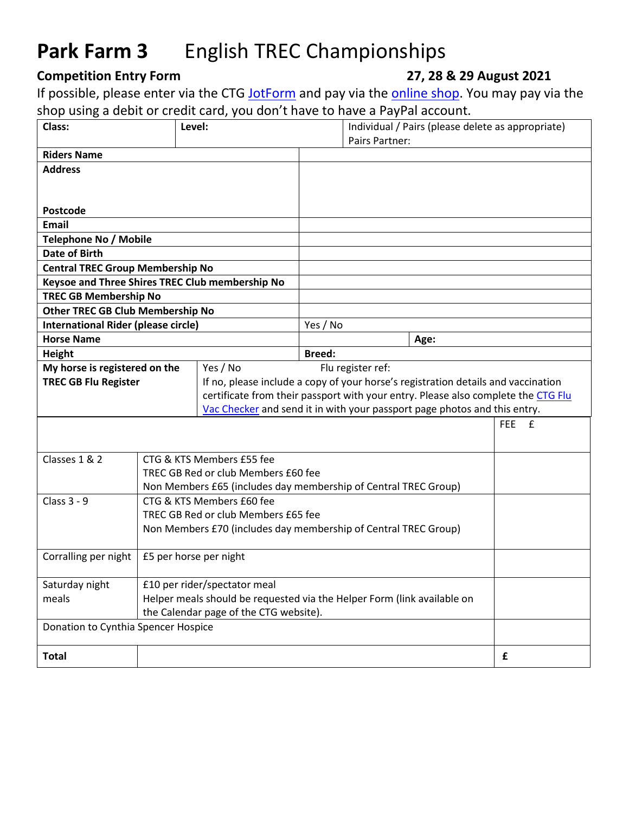## **Park Farm 3** English TREC Championships

## **Competition Entry Form 27, 28 & 29 August 2021**

If possible, please enter via the CTG [JotForm](https://form.jotform.com/211872318442050) and pay via the **online shop**. You may pay via the shop using a debit or credit card, you don't have to have a PayPal account.

| Class:<br>Level:                                                                                                                   |                                                                 |                                                                                   |                                                                                                                                                                | Pairs Partner:    |      | Individual / Pairs (please delete as appropriate) |
|------------------------------------------------------------------------------------------------------------------------------------|-----------------------------------------------------------------|-----------------------------------------------------------------------------------|----------------------------------------------------------------------------------------------------------------------------------------------------------------|-------------------|------|---------------------------------------------------|
| <b>Riders Name</b>                                                                                                                 |                                                                 |                                                                                   |                                                                                                                                                                |                   |      |                                                   |
| <b>Address</b>                                                                                                                     |                                                                 |                                                                                   |                                                                                                                                                                |                   |      |                                                   |
|                                                                                                                                    |                                                                 |                                                                                   |                                                                                                                                                                |                   |      |                                                   |
|                                                                                                                                    |                                                                 |                                                                                   |                                                                                                                                                                |                   |      |                                                   |
| Postcode                                                                                                                           |                                                                 |                                                                                   |                                                                                                                                                                |                   |      |                                                   |
| <b>Email</b>                                                                                                                       |                                                                 |                                                                                   |                                                                                                                                                                |                   |      |                                                   |
| Telephone No / Mobile                                                                                                              |                                                                 |                                                                                   |                                                                                                                                                                |                   |      |                                                   |
| Date of Birth                                                                                                                      |                                                                 |                                                                                   |                                                                                                                                                                |                   |      |                                                   |
| <b>Central TREC Group Membership No</b>                                                                                            |                                                                 |                                                                                   |                                                                                                                                                                |                   |      |                                                   |
| Keysoe and Three Shires TREC Club membership No                                                                                    |                                                                 |                                                                                   |                                                                                                                                                                |                   |      |                                                   |
| <b>TREC GB Membership No</b>                                                                                                       |                                                                 |                                                                                   |                                                                                                                                                                |                   |      |                                                   |
| <b>Other TREC GB Club Membership No</b>                                                                                            |                                                                 |                                                                                   |                                                                                                                                                                |                   |      |                                                   |
| <b>International Rider (please circle)</b>                                                                                         |                                                                 |                                                                                   | Yes / No                                                                                                                                                       |                   |      |                                                   |
| <b>Horse Name</b>                                                                                                                  |                                                                 |                                                                                   |                                                                                                                                                                |                   | Age: |                                                   |
| Height                                                                                                                             |                                                                 |                                                                                   | <b>Breed:</b>                                                                                                                                                  |                   |      |                                                   |
| My horse is registered on the                                                                                                      |                                                                 | Yes / No                                                                          |                                                                                                                                                                | Flu register ref: |      |                                                   |
| <b>TREC GB Flu Register</b>                                                                                                        |                                                                 | If no, please include a copy of your horse's registration details and vaccination |                                                                                                                                                                |                   |      |                                                   |
|                                                                                                                                    |                                                                 |                                                                                   | certificate from their passport with your entry. Please also complete the CTG Flu<br>Vac Checker and send it in with your passport page photos and this entry. |                   |      |                                                   |
|                                                                                                                                    |                                                                 |                                                                                   |                                                                                                                                                                |                   |      |                                                   |
|                                                                                                                                    |                                                                 |                                                                                   |                                                                                                                                                                |                   |      | FEE £                                             |
|                                                                                                                                    |                                                                 |                                                                                   |                                                                                                                                                                |                   |      |                                                   |
| Classes 1 & 2                                                                                                                      |                                                                 | CTG & KTS Members £55 fee                                                         |                                                                                                                                                                |                   |      |                                                   |
|                                                                                                                                    |                                                                 | TREC GB Red or club Members £60 fee                                               |                                                                                                                                                                |                   |      |                                                   |
|                                                                                                                                    |                                                                 | Non Members £65 (includes day membership of Central TREC Group)                   |                                                                                                                                                                |                   |      |                                                   |
| Class 3 - 9                                                                                                                        | CTG & KTS Members £60 fee                                       |                                                                                   |                                                                                                                                                                |                   |      |                                                   |
|                                                                                                                                    |                                                                 | TREC GB Red or club Members £65 fee                                               |                                                                                                                                                                |                   |      |                                                   |
|                                                                                                                                    | Non Members £70 (includes day membership of Central TREC Group) |                                                                                   |                                                                                                                                                                |                   |      |                                                   |
|                                                                                                                                    |                                                                 |                                                                                   |                                                                                                                                                                |                   |      |                                                   |
| Corralling per night                                                                                                               | £5 per horse per night                                          |                                                                                   |                                                                                                                                                                |                   |      |                                                   |
|                                                                                                                                    |                                                                 |                                                                                   |                                                                                                                                                                |                   |      |                                                   |
| £10 per rider/spectator meal<br>Saturday night<br>Helper meals should be requested via the Helper Form (link available on<br>meals |                                                                 |                                                                                   |                                                                                                                                                                |                   |      |                                                   |
|                                                                                                                                    |                                                                 |                                                                                   |                                                                                                                                                                |                   |      |                                                   |
| the Calendar page of the CTG website).<br>Donation to Cynthia Spencer Hospice                                                      |                                                                 |                                                                                   |                                                                                                                                                                |                   |      |                                                   |
|                                                                                                                                    |                                                                 |                                                                                   |                                                                                                                                                                |                   |      |                                                   |
| <b>Total</b>                                                                                                                       |                                                                 |                                                                                   |                                                                                                                                                                |                   |      | £                                                 |